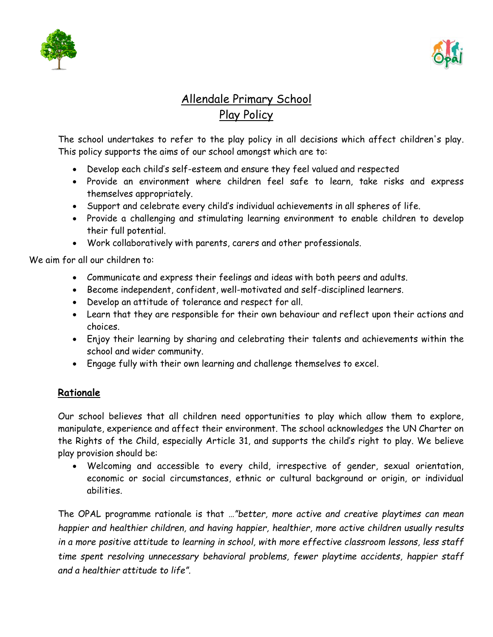



# Allendale Primary School Play Policy

The school undertakes to refer to the play policy in all decisions which affect children's play. This policy supports the aims of our school amongst which are to:

- Develop each child's self-esteem and ensure they feel valued and respected
- Provide an environment where children feel safe to learn, take risks and express themselves appropriately.
- Support and celebrate every child's individual achievements in all spheres of life.
- Provide a challenging and stimulating learning environment to enable children to develop their full potential.
- Work collaboratively with parents, carers and other professionals.

We aim for all our children to:

- Communicate and express their feelings and ideas with both peers and adults.
- Become independent, confident, well-motivated and self-disciplined learners.
- Develop an attitude of tolerance and respect for all.
- Learn that they are responsible for their own behaviour and reflect upon their actions and choices.
- Enjoy their learning by sharing and celebrating their talents and achievements within the school and wider community.
- Engage fully with their own learning and challenge themselves to excel.

## **Rationale**

Our school believes that all children need opportunities to play which allow them to explore, manipulate, experience and affect their environment. The school acknowledges the UN Charter on the Rights of the Child, especially Article 31, and supports the child's right to play. We believe play provision should be:

 Welcoming and accessible to every child, irrespective of gender, sexual orientation, economic or social circumstances, ethnic or cultural background or origin, or individual abilities.

The OPAL programme rationale is that *…"better, more active and creative playtimes can mean happier and healthier children, and having happier, healthier, more active children usually results in a more positive attitude to learning in school, with more effective classroom lessons, less staff time spent resolving unnecessary behavioral problems, fewer playtime accidents, happier staff and a healthier attitude to life".*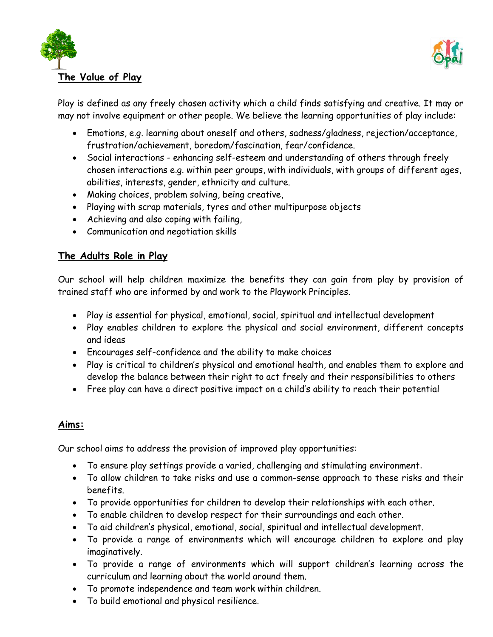



Play is defined as any freely chosen activity which a child finds satisfying and creative. It may or may not involve equipment or other people. We believe the learning opportunities of play include:

- Emotions, e.g. learning about oneself and others, sadness/gladness, rejection/acceptance, frustration/achievement, boredom/fascination, fear/confidence.
- Social interactions enhancing self-esteem and understanding of others through freely chosen interactions e.g. within peer groups, with individuals, with groups of different ages, abilities, interests, gender, ethnicity and culture.
- Making choices, problem solving, being creative,
- Playing with scrap materials, tyres and other multipurpose objects
- Achieving and also coping with failing,
- Communication and negotiation skills

### **The Adults Role in Play**

Our school will help children maximize the benefits they can gain from play by provision of trained staff who are informed by and work to the Playwork Principles.

- Play is essential for physical, emotional, social, spiritual and intellectual development
- Play enables children to explore the physical and social environment, different concepts and ideas
- Encourages self-confidence and the ability to make choices
- Play is critical to children's physical and emotional health, and enables them to explore and develop the balance between their right to act freely and their responsibilities to others
- Free play can have a direct positive impact on a child's ability to reach their potential

#### **Aims:**

Our school aims to address the provision of improved play opportunities:

- To ensure play settings provide a varied, challenging and stimulating environment.
- To allow children to take risks and use a common-sense approach to these risks and their benefits.
- To provide opportunities for children to develop their relationships with each other.
- To enable children to develop respect for their surroundings and each other.
- To aid children's physical, emotional, social, spiritual and intellectual development.
- To provide a range of environments which will encourage children to explore and play imaginatively.
- To provide a range of environments which will support children's learning across the curriculum and learning about the world around them.
- To promote independence and team work within children.
- To build emotional and physical resilience.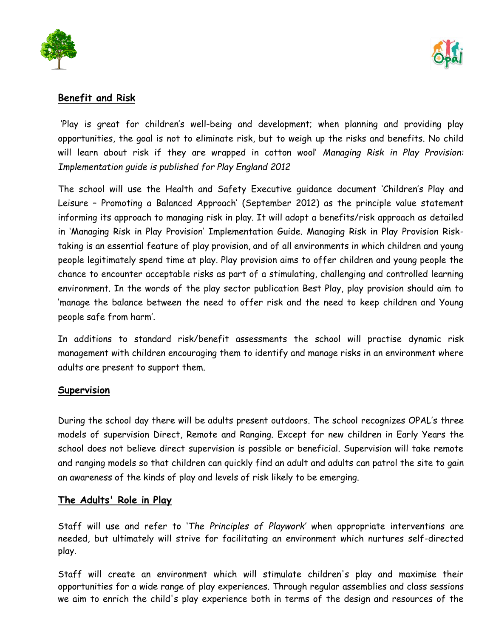



#### **Benefit and Risk**

'Play is great for children's well-being and development; when planning and providing play opportunities, the goal is not to eliminate risk, but to weigh up the risks and benefits. No child will learn about risk if they are wrapped in cotton wool' *Managing Risk in Play Provision: Implementation guide is published for Play England 2012* 

The school will use the Health and Safety Executive guidance document 'Children's Play and Leisure – Promoting a Balanced Approach' (September 2012) as the principle value statement informing its approach to managing risk in play. It will adopt a benefits/risk approach as detailed in 'Managing Risk in Play Provision' Implementation Guide. Managing Risk in Play Provision Risktaking is an essential feature of play provision, and of all environments in which children and young people legitimately spend time at play. Play provision aims to offer children and young people the chance to encounter acceptable risks as part of a stimulating, challenging and controlled learning environment. In the words of the play sector publication Best Play, play provision should aim to 'manage the balance between the need to offer risk and the need to keep children and Young people safe from harm'.

In additions to standard risk/benefit assessments the school will practise dynamic risk management with children encouraging them to identify and manage risks in an environment where adults are present to support them.

#### **Supervision**

During the school day there will be adults present outdoors. The school recognizes OPAL's three models of supervision Direct, Remote and Ranging. Except for new children in Early Years the school does not believe direct supervision is possible or beneficial. Supervision will take remote and ranging models so that children can quickly find an adult and adults can patrol the site to gain an awareness of the kinds of play and levels of risk likely to be emerging.

#### **The Adults' Role in Play**

Staff will use and refer to '*The Principles of Playwork'* when appropriate interventions are needed, but ultimately will strive for facilitating an environment which nurtures self-directed play.

Staff will create an environment which will stimulate children's play and maximise their opportunities for a wide range of play experiences. Through regular assemblies and class sessions we aim to enrich the child's play experience both in terms of the design and resources of the